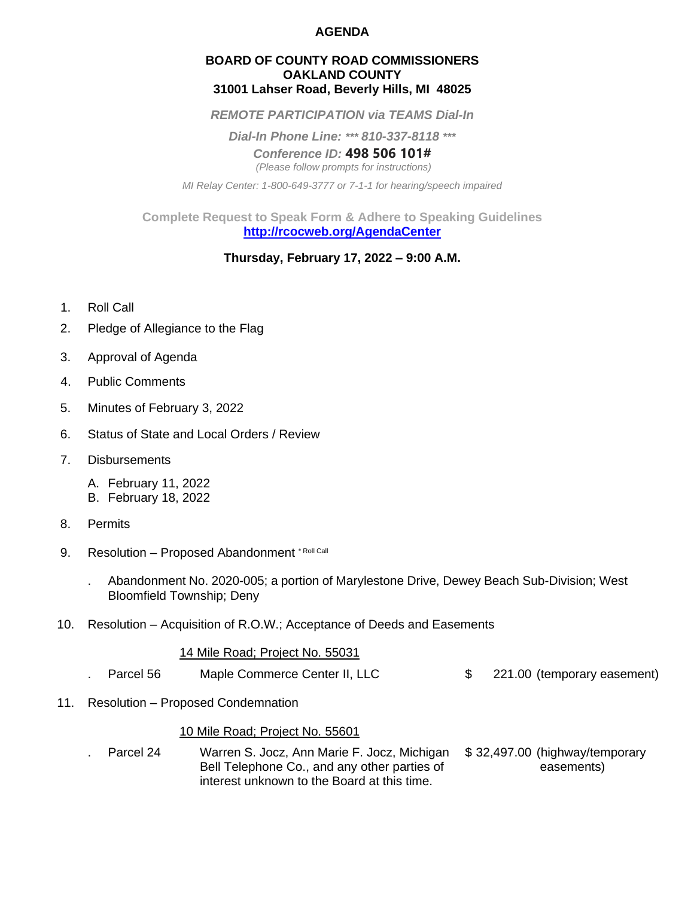### **AGENDA**

### **BOARD OF COUNTY ROAD COMMISSIONERS OAKLAND COUNTY 31001 Lahser Road, Beverly Hills, MI 48025**

*REMOTE PARTICIPATION via TEAMS Dial-In*

*Dial-In Phone Line: \*\*\* 810-337-8118 \*\*\**

*Conference ID:* **498 506 101#** *(Please follow prompts for instructions)*

*MI Relay Center: 1-800-649-3777 or 7-1-1 for hearing/speech impaired*

**Complete Request to Speak Form & Adhere to Speaking Guidelines <http://rcocweb.org/AgendaCenter>**

## **Thursday, February 17, 2022 – 9:00 A.M.**

- 1. Roll Call
- 2. Pledge of Allegiance to the Flag
- 3. Approval of Agenda
- 4. Public Comments
- 5. Minutes of February 3, 2022
- 6. Status of State and Local Orders / Review
- 7. Disbursements
	- A. February 11, 2022
	- B. February 18, 2022
- 8. Permits
- 9. Resolution Proposed Abandonment \* Roll Call
	- . Abandonment No. 2020-005; a portion of Marylestone Drive, Dewey Beach Sub-Division; West Bloomfield Township; Deny
- 10. Resolution Acquisition of R.O.W.; Acceptance of Deeds and Easements

#### 14 Mile Road; Project No. 55031

- . Parcel 56 Maple Commerce Center II, LLC  $\qquad \qquad$  \$ 221.00 (temporary easement)
- 11. Resolution Proposed Condemnation

### 10 Mile Road; Project No. 55601

Parcel 24 Warren S. Jocz, Ann Marie F. Jocz, Michigan \$ 32,497.00 (highway/temporary Bell Telephone Co., and any other parties of easements) interest unknown to the Board at this time.